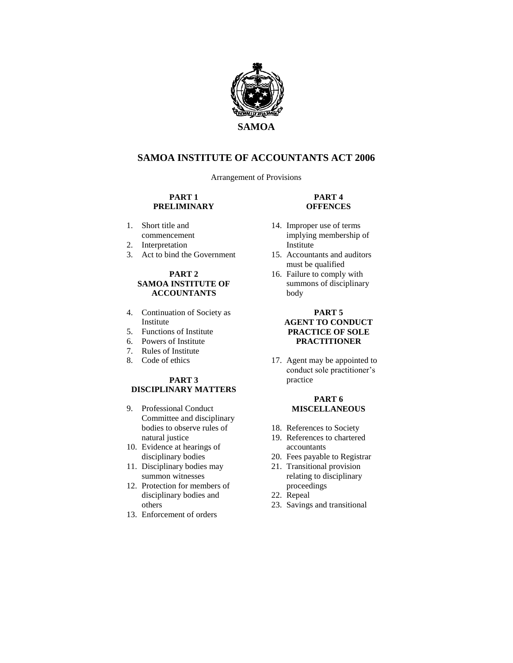

# **SAMOA INSTITUTE OF ACCOUNTANTS ACT 2006**

Arrangement of Provisions

#### **PART 1 PRELIMINARY**

- 1. Short title and commencement
- 2. Interpretation
- 3. Act to bind the Government

#### **PART 2 SAMOA INSTITUTE OF ACCOUNTANTS**

- 4. Continuation of Society as Institute
- 5. Functions of Institute
- 6. Powers of Institute
- 7. Rules of Institute
- 8. Code of ethics

### **PART 3 DISCIPLINARY MATTERS**

- 9. Professional Conduct Committee and disciplinary bodies to observe rules of natural justice
- 10. Evidence at hearings of disciplinary bodies
- 11. Disciplinary bodies may summon witnesses
- 12. Protection for members of disciplinary bodies and others
- 13. Enforcement of orders

### **PART 4 OFFENCES**

- 14. Improper use of terms implying membership of Institute
- 15. Accountants and auditors must be qualified
- 16. Failure to comply with summons of disciplinary body

#### **PART 5 AGENT TO CONDUCT PRACTICE OF SOLE PRACTITIONER**

17. Agent may be appointed to conduct sole practitioner's practice

#### **PART 6 MISCELLANEOUS**

- 18. References to Society
- 19. References to chartered accountants
- 20. Fees payable to Registrar
- 21. Transitional provision relating to disciplinary proceedings
- 22. Repeal
- 23. Savings and transitional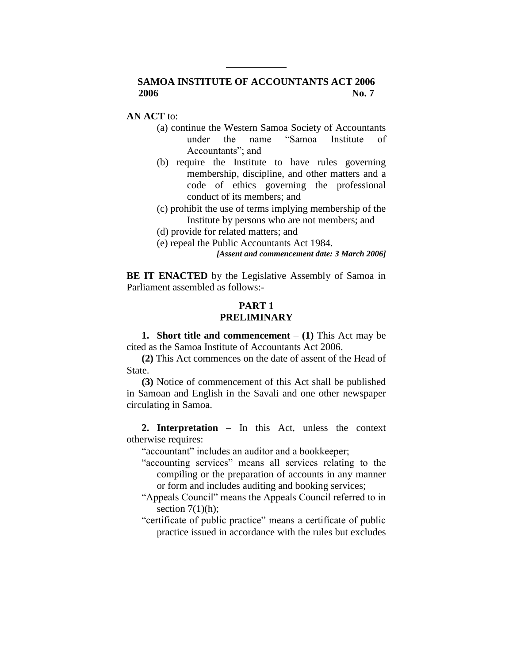# **SAMOA INSTITUTE OF ACCOUNTANTS ACT 2006 2006 No. 7**

### **AN ACT** to:

- (a) continue the Western Samoa Society of Accountants under the name "Samoa Institute of Accountants"; and
- (b) require the Institute to have rules governing membership, discipline, and other matters and a code of ethics governing the professional conduct of its members; and
- (c) prohibit the use of terms implying membership of the Institute by persons who are not members; and
- (d) provide for related matters; and
- (e) repeal the Public Accountants Act 1984.

*[Assent and commencement date: 3 March 2006]*

**BE IT ENACTED** by the Legislative Assembly of Samoa in Parliament assembled as follows:-

# **PART 1 PRELIMINARY**

**1. Short title and commencement** – **(1)** This Act may be cited as the Samoa Institute of Accountants Act 2006.

**(2)** This Act commences on the date of assent of the Head of State.

**(3)** Notice of commencement of this Act shall be published in Samoan and English in the Savali and one other newspaper circulating in Samoa.

**2. Interpretation** – In this Act, unless the context otherwise requires:

"accountant" includes an auditor and a bookkeeper;

- "accounting services" means all services relating to the compiling or the preparation of accounts in any manner or form and includes auditing and booking services;
- "Appeals Council" means the Appeals Council referred to in section  $7(1)(h)$ ;
- "certificate of public practice" means a certificate of public practice issued in accordance with the rules but excludes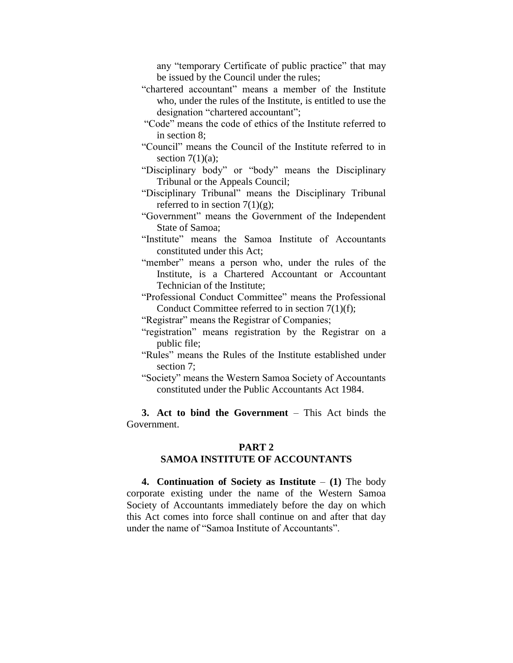any "temporary Certificate of public practice" that may be issued by the Council under the rules;

- "chartered accountant" means a member of the Institute who, under the rules of the Institute, is entitled to use the designation "chartered accountant";
- "Code" means the code of ethics of the Institute referred to in section 8;
- "Council" means the Council of the Institute referred to in section  $7(1)(a)$ ;
- "Disciplinary body" or "body" means the Disciplinary Tribunal or the Appeals Council;
- "Disciplinary Tribunal" means the Disciplinary Tribunal referred to in section  $7(1)(g)$ ;
- "Government" means the Government of the Independent State of Samoa;
- "Institute" means the Samoa Institute of Accountants constituted under this Act;
- "member" means a person who, under the rules of the Institute, is a Chartered Accountant or Accountant Technician of the Institute;
- "Professional Conduct Committee" means the Professional Conduct Committee referred to in section 7(1)(f);
- "Registrar" means the Registrar of Companies;
- "registration" means registration by the Registrar on a public file;
- "Rules" means the Rules of the Institute established under section 7;
- "Society" means the Western Samoa Society of Accountants constituted under the Public Accountants Act 1984.

**3. Act to bind the Government** – This Act binds the Government.

#### **PART 2**

## **SAMOA INSTITUTE OF ACCOUNTANTS**

**4. Continuation of Society as Institute** – **(1)** The body corporate existing under the name of the Western Samoa Society of Accountants immediately before the day on which this Act comes into force shall continue on and after that day under the name of "Samoa Institute of Accountants".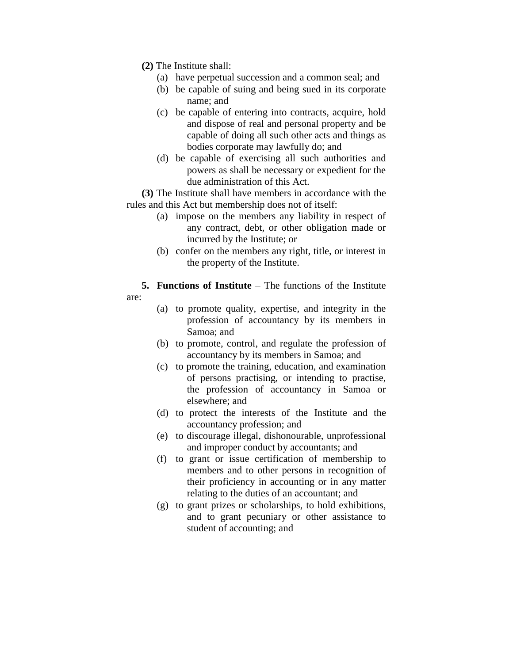- **(2)** The Institute shall:
	- (a) have perpetual succession and a common seal; and
	- (b) be capable of suing and being sued in its corporate name; and
	- (c) be capable of entering into contracts, acquire, hold and dispose of real and personal property and be capable of doing all such other acts and things as bodies corporate may lawfully do; and
	- (d) be capable of exercising all such authorities and powers as shall be necessary or expedient for the due administration of this Act.

**(3)** The Institute shall have members in accordance with the rules and this Act but membership does not of itself:

- (a) impose on the members any liability in respect of any contract, debt, or other obligation made or incurred by the Institute; or
- (b) confer on the members any right, title, or interest in the property of the Institute.

**5. Functions of Institute** – The functions of the Institute are:

- (a) to promote quality, expertise, and integrity in the profession of accountancy by its members in Samoa; and
- (b) to promote, control, and regulate the profession of accountancy by its members in Samoa; and
- (c) to promote the training, education, and examination of persons practising, or intending to practise, the profession of accountancy in Samoa or elsewhere; and
- (d) to protect the interests of the Institute and the accountancy profession; and
- (e) to discourage illegal, dishonourable, unprofessional and improper conduct by accountants; and
- (f) to grant or issue certification of membership to members and to other persons in recognition of their proficiency in accounting or in any matter relating to the duties of an accountant; and
- (g) to grant prizes or scholarships, to hold exhibitions, and to grant pecuniary or other assistance to student of accounting; and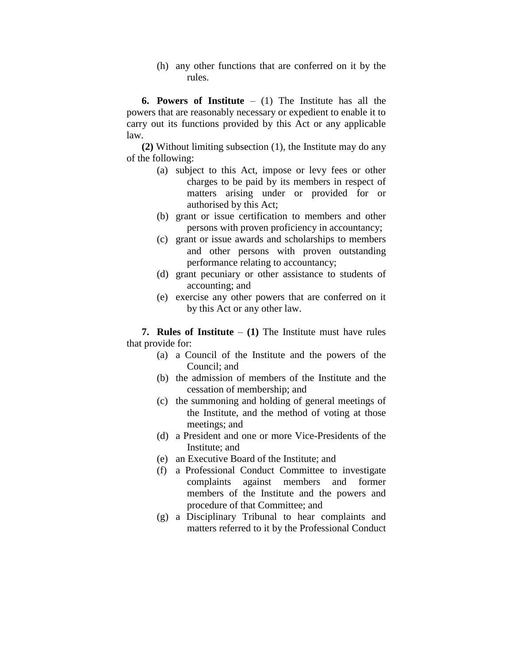(h) any other functions that are conferred on it by the rules.

**6. Powers of Institute** – (1) The Institute has all the powers that are reasonably necessary or expedient to enable it to carry out its functions provided by this Act or any applicable law.

**(2)** Without limiting subsection (1), the Institute may do any of the following:

- (a) subject to this Act, impose or levy fees or other charges to be paid by its members in respect of matters arising under or provided for or authorised by this Act;
- (b) grant or issue certification to members and other persons with proven proficiency in accountancy;
- (c) grant or issue awards and scholarships to members and other persons with proven outstanding performance relating to accountancy;
- (d) grant pecuniary or other assistance to students of accounting; and
- (e) exercise any other powers that are conferred on it by this Act or any other law.

**7. Rules of Institute** – **(1)** The Institute must have rules that provide for:

- (a) a Council of the Institute and the powers of the Council; and
- (b) the admission of members of the Institute and the cessation of membership; and
- (c) the summoning and holding of general meetings of the Institute, and the method of voting at those meetings; and
- (d) a President and one or more Vice-Presidents of the Institute; and
- (e) an Executive Board of the Institute; and
- (f) a Professional Conduct Committee to investigate complaints against members and former members of the Institute and the powers and procedure of that Committee; and
- (g) a Disciplinary Tribunal to hear complaints and matters referred to it by the Professional Conduct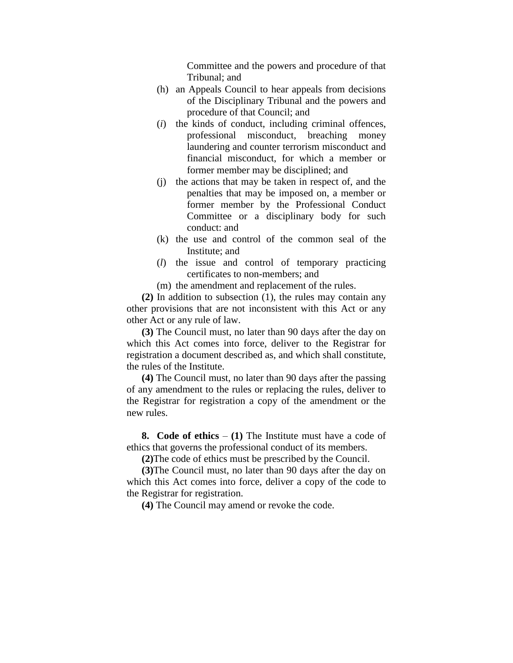Committee and the powers and procedure of that Tribunal; and

- (h) an Appeals Council to hear appeals from decisions of the Disciplinary Tribunal and the powers and procedure of that Council; and
- (*i*) the kinds of conduct, including criminal offences, professional misconduct, breaching money laundering and counter terrorism misconduct and financial misconduct, for which a member or former member may be disciplined; and
- (j) the actions that may be taken in respect of, and the penalties that may be imposed on, a member or former member by the Professional Conduct Committee or a disciplinary body for such conduct: and
- (k) the use and control of the common seal of the Institute; and
- (*l*) the issue and control of temporary practicing certificates to non-members; and
- (m) the amendment and replacement of the rules.

**(2)** In addition to subsection (1), the rules may contain any other provisions that are not inconsistent with this Act or any other Act or any rule of law.

**(3)** The Council must, no later than 90 days after the day on which this Act comes into force, deliver to the Registrar for registration a document described as, and which shall constitute, the rules of the Institute.

**(4)** The Council must, no later than 90 days after the passing of any amendment to the rules or replacing the rules, deliver to the Registrar for registration a copy of the amendment or the new rules.

**8. Code of ethics** – **(1)** The Institute must have a code of ethics that governs the professional conduct of its members.

**(2)**The code of ethics must be prescribed by the Council.

**(3)**The Council must, no later than 90 days after the day on which this Act comes into force, deliver a copy of the code to the Registrar for registration.

**(4)** The Council may amend or revoke the code.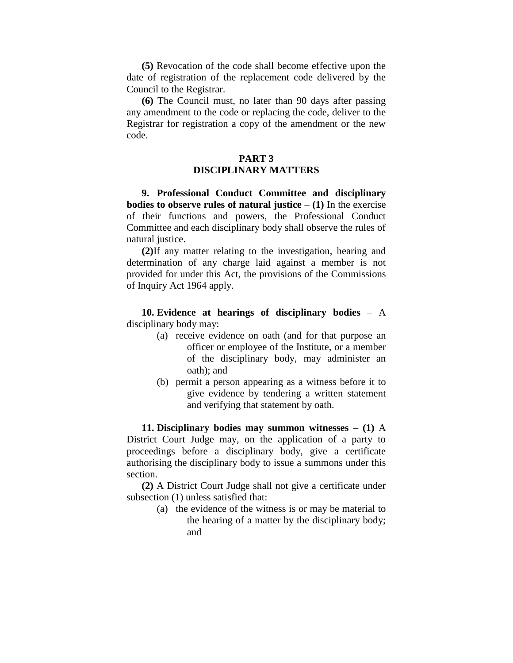**(5)** Revocation of the code shall become effective upon the date of registration of the replacement code delivered by the Council to the Registrar.

**(6)** The Council must, no later than 90 days after passing any amendment to the code or replacing the code, deliver to the Registrar for registration a copy of the amendment or the new code.

### **PART 3 DISCIPLINARY MATTERS**

**9. Professional Conduct Committee and disciplinary bodies to observe rules of natural justice**  $- (1)$  **In the exercise** of their functions and powers, the Professional Conduct Committee and each disciplinary body shall observe the rules of natural justice.

**(2)**If any matter relating to the investigation, hearing and determination of any charge laid against a member is not provided for under this Act, the provisions of the Commissions of Inquiry Act 1964 apply.

**10. Evidence at hearings of disciplinary bodies** – A disciplinary body may:

- (a) receive evidence on oath (and for that purpose an officer or employee of the Institute, or a member of the disciplinary body, may administer an oath); and
- (b) permit a person appearing as a witness before it to give evidence by tendering a written statement and verifying that statement by oath.

**11. Disciplinary bodies may summon witnesses** – **(1)** A District Court Judge may, on the application of a party to proceedings before a disciplinary body, give a certificate authorising the disciplinary body to issue a summons under this section.

**(2)** A District Court Judge shall not give a certificate under subsection (1) unless satisfied that:

> (a) the evidence of the witness is or may be material to the hearing of a matter by the disciplinary body; and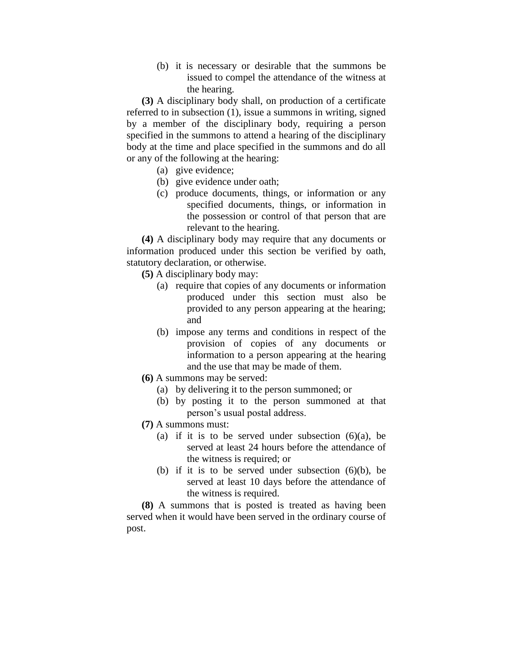(b) it is necessary or desirable that the summons be issued to compel the attendance of the witness at the hearing.

**(3)** A disciplinary body shall, on production of a certificate referred to in subsection (1), issue a summons in writing, signed by a member of the disciplinary body, requiring a person specified in the summons to attend a hearing of the disciplinary body at the time and place specified in the summons and do all or any of the following at the hearing:

- (a) give evidence;
- (b) give evidence under oath;
- (c) produce documents, things, or information or any specified documents, things, or information in the possession or control of that person that are relevant to the hearing.

**(4)** A disciplinary body may require that any documents or information produced under this section be verified by oath, statutory declaration, or otherwise.

**(5)** A disciplinary body may:

- (a) require that copies of any documents or information produced under this section must also be provided to any person appearing at the hearing; and
- (b) impose any terms and conditions in respect of the provision of copies of any documents or information to a person appearing at the hearing and the use that may be made of them.
- **(6)** A summons may be served:
	- (a) by delivering it to the person summoned; or
	- (b) by posting it to the person summoned at that person's usual postal address.
- **(7)** A summons must:
	- (a) if it is to be served under subsection  $(6)(a)$ , be served at least 24 hours before the attendance of the witness is required; or
	- (b) if it is to be served under subsection  $(6)(b)$ , be served at least 10 days before the attendance of the witness is required.

**(8)** A summons that is posted is treated as having been served when it would have been served in the ordinary course of post.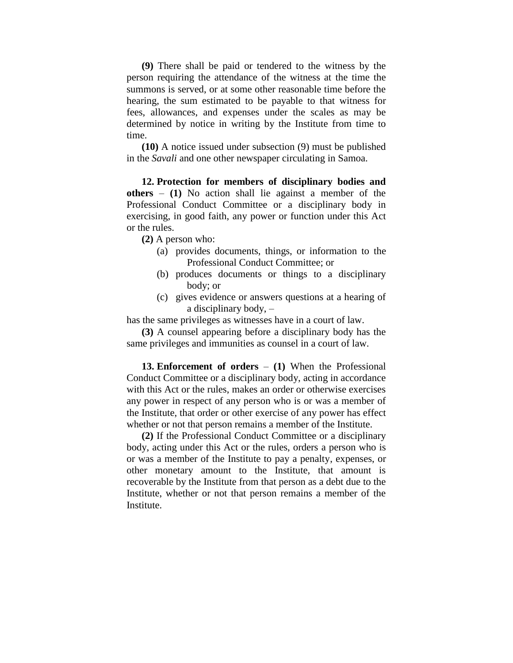**(9)** There shall be paid or tendered to the witness by the person requiring the attendance of the witness at the time the summons is served, or at some other reasonable time before the hearing, the sum estimated to be payable to that witness for fees, allowances, and expenses under the scales as may be determined by notice in writing by the Institute from time to time.

**(10)** A notice issued under subsection (9) must be published in the *Savali* and one other newspaper circulating in Samoa.

**12. Protection for members of disciplinary bodies and others** – **(1)** No action shall lie against a member of the Professional Conduct Committee or a disciplinary body in exercising, in good faith, any power or function under this Act or the rules.

**(2)** A person who:

- (a) provides documents, things, or information to the Professional Conduct Committee; or
- (b) produces documents or things to a disciplinary body; or
- (c) gives evidence or answers questions at a hearing of a disciplinary body, –

has the same privileges as witnesses have in a court of law.

**(3)** A counsel appearing before a disciplinary body has the same privileges and immunities as counsel in a court of law.

**13. Enforcement of orders** – **(1)** When the Professional Conduct Committee or a disciplinary body, acting in accordance with this Act or the rules, makes an order or otherwise exercises any power in respect of any person who is or was a member of the Institute, that order or other exercise of any power has effect whether or not that person remains a member of the Institute.

**(2)** If the Professional Conduct Committee or a disciplinary body, acting under this Act or the rules, orders a person who is or was a member of the Institute to pay a penalty, expenses, or other monetary amount to the Institute, that amount is recoverable by the Institute from that person as a debt due to the Institute, whether or not that person remains a member of the Institute.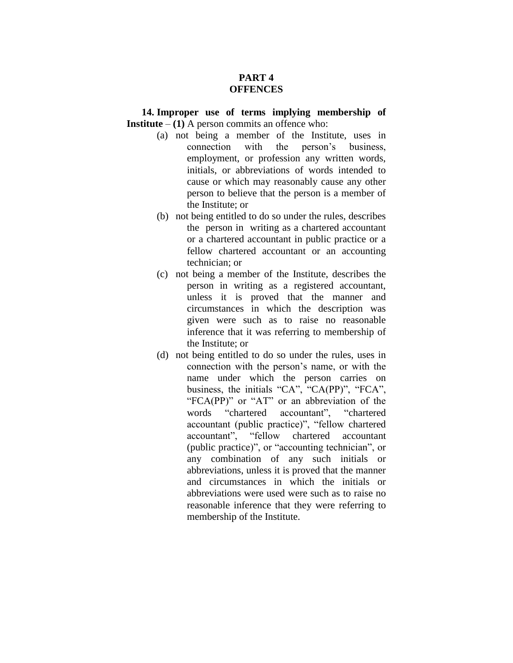# **PART 4 OFFENCES**

**14. Improper use of terms implying membership of Institute** –  $(1)$  A person commits an offence who:

- (a) not being a member of the Institute, uses in connection with the person's business, employment, or profession any written words, initials, or abbreviations of words intended to cause or which may reasonably cause any other person to believe that the person is a member of the Institute; or
- (b) not being entitled to do so under the rules, describes the person in writing as a chartered accountant or a chartered accountant in public practice or a fellow chartered accountant or an accounting technician; or
- (c) not being a member of the Institute, describes the person in writing as a registered accountant, unless it is proved that the manner and circumstances in which the description was given were such as to raise no reasonable inference that it was referring to membership of the Institute; or
- (d) not being entitled to do so under the rules, uses in connection with the person's name, or with the name under which the person carries on business, the initials "CA", "CA(PP)", "FCA", "FCA(PP)" or "AT" or an abbreviation of the words "chartered accountant", "chartered accountant (public practice)", "fellow chartered accountant", "fellow chartered accountant (public practice)", or "accounting technician", or any combination of any such initials or abbreviations, unless it is proved that the manner and circumstances in which the initials or abbreviations were used were such as to raise no reasonable inference that they were referring to membership of the Institute.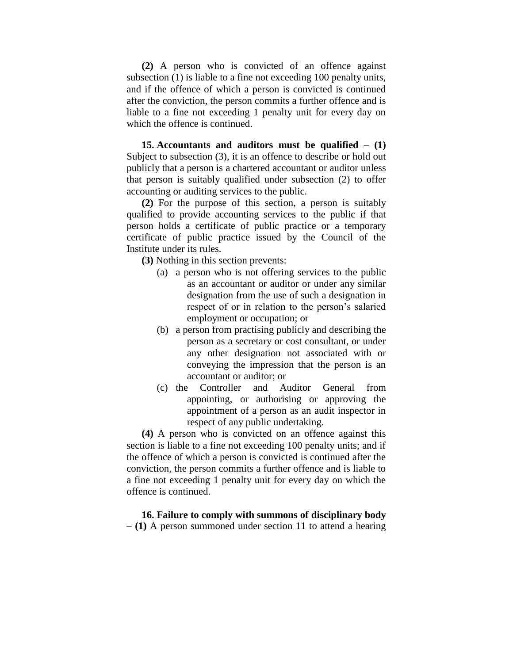**(2)** A person who is convicted of an offence against subsection (1) is liable to a fine not exceeding 100 penalty units, and if the offence of which a person is convicted is continued after the conviction, the person commits a further offence and is liable to a fine not exceeding 1 penalty unit for every day on which the offence is continued.

**15. Accountants and auditors must be qualified** – **(1)** Subject to subsection (3), it is an offence to describe or hold out publicly that a person is a chartered accountant or auditor unless that person is suitably qualified under subsection (2) to offer accounting or auditing services to the public.

**(2)** For the purpose of this section, a person is suitably qualified to provide accounting services to the public if that person holds a certificate of public practice or a temporary certificate of public practice issued by the Council of the Institute under its rules.

**(3)** Nothing in this section prevents:

- (a) a person who is not offering services to the public as an accountant or auditor or under any similar designation from the use of such a designation in respect of or in relation to the person's salaried employment or occupation; or
- (b) a person from practising publicly and describing the person as a secretary or cost consultant, or under any other designation not associated with or conveying the impression that the person is an accountant or auditor; or
- (c) the Controller and Auditor General from appointing, or authorising or approving the appointment of a person as an audit inspector in respect of any public undertaking.

**(4)** A person who is convicted on an offence against this section is liable to a fine not exceeding 100 penalty units; and if the offence of which a person is convicted is continued after the conviction, the person commits a further offence and is liable to a fine not exceeding 1 penalty unit for every day on which the offence is continued.

### **16. Failure to comply with summons of disciplinary body** – **(1)** A person summoned under section 11 to attend a hearing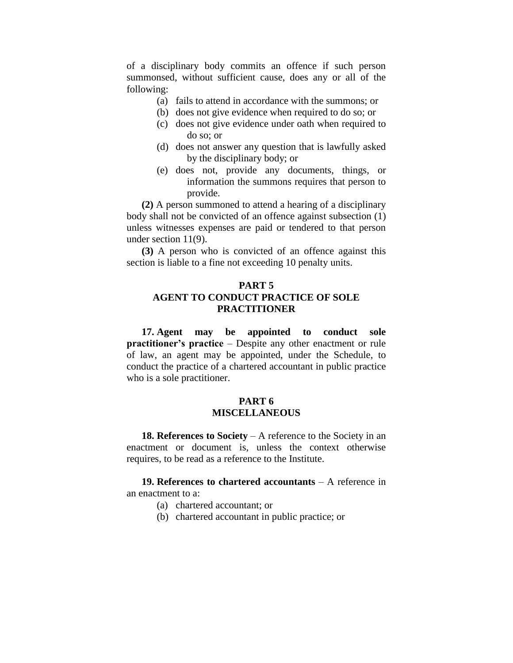of a disciplinary body commits an offence if such person summonsed, without sufficient cause, does any or all of the following:

- (a) fails to attend in accordance with the summons; or
- (b) does not give evidence when required to do so; or
- (c) does not give evidence under oath when required to do so; or
- (d) does not answer any question that is lawfully asked by the disciplinary body; or
- (e) does not, provide any documents, things, or information the summons requires that person to provide.

**(2)** A person summoned to attend a hearing of a disciplinary body shall not be convicted of an offence against subsection (1) unless witnesses expenses are paid or tendered to that person under section 11(9).

**(3)** A person who is convicted of an offence against this section is liable to a fine not exceeding 10 penalty units.

## **PART 5 AGENT TO CONDUCT PRACTICE OF SOLE PRACTITIONER**

**17. Agent may be appointed to conduct sole practitioner's practice** – Despite any other enactment or rule of law, an agent may be appointed, under the Schedule, to conduct the practice of a chartered accountant in public practice who is a sole practitioner.

### **PART 6 MISCELLANEOUS**

**18. References to Society** – A reference to the Society in an enactment or document is, unless the context otherwise requires, to be read as a reference to the Institute.

**19. References to chartered accountants** – A reference in an enactment to a:

- (a) chartered accountant; or
- (b) chartered accountant in public practice; or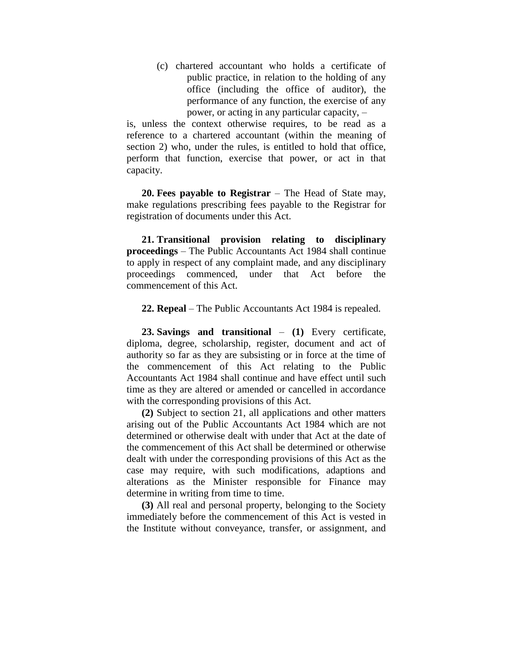(c) chartered accountant who holds a certificate of public practice, in relation to the holding of any office (including the office of auditor), the performance of any function, the exercise of any power, or acting in any particular capacity, –

is, unless the context otherwise requires, to be read as a reference to a chartered accountant (within the meaning of section 2) who, under the rules, is entitled to hold that office, perform that function, exercise that power, or act in that capacity.

**20. Fees payable to Registrar** – The Head of State may, make regulations prescribing fees payable to the Registrar for registration of documents under this Act.

**21. Transitional provision relating to disciplinary proceedings** – The Public Accountants Act 1984 shall continue to apply in respect of any complaint made, and any disciplinary proceedings commenced, under that Act before the commencement of this Act.

**22. Repeal** – The Public Accountants Act 1984 is repealed.

**23. Savings and transitional** – **(1)** Every certificate, diploma, degree, scholarship, register, document and act of authority so far as they are subsisting or in force at the time of the commencement of this Act relating to the Public Accountants Act 1984 shall continue and have effect until such time as they are altered or amended or cancelled in accordance with the corresponding provisions of this Act.

**(2)** Subject to section 21, all applications and other matters arising out of the Public Accountants Act 1984 which are not determined or otherwise dealt with under that Act at the date of the commencement of this Act shall be determined or otherwise dealt with under the corresponding provisions of this Act as the case may require, with such modifications, adaptions and alterations as the Minister responsible for Finance may determine in writing from time to time.

**(3)** All real and personal property, belonging to the Society immediately before the commencement of this Act is vested in the Institute without conveyance, transfer, or assignment, and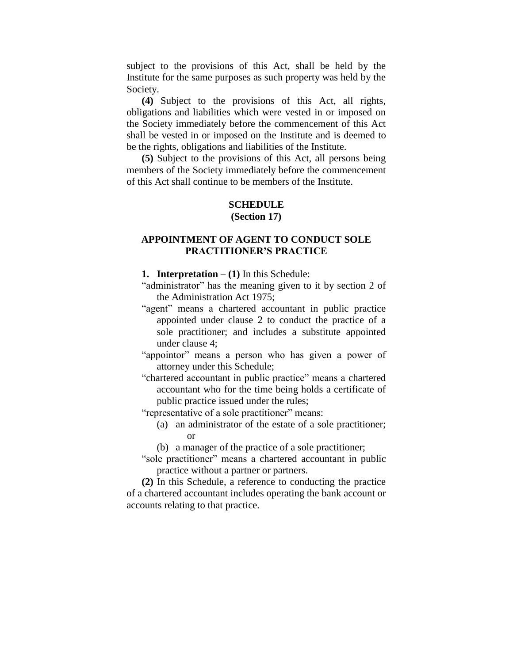subject to the provisions of this Act, shall be held by the Institute for the same purposes as such property was held by the Society.

**(4)** Subject to the provisions of this Act, all rights, obligations and liabilities which were vested in or imposed on the Society immediately before the commencement of this Act shall be vested in or imposed on the Institute and is deemed to be the rights, obligations and liabilities of the Institute.

**(5)** Subject to the provisions of this Act, all persons being members of the Society immediately before the commencement of this Act shall continue to be members of the Institute.

### **SCHEDULE (Section 17)**

## **APPOINTMENT OF AGENT TO CONDUCT SOLE PRACTITIONER'S PRACTICE**

**1. Interpretation** – **(1)** In this Schedule:

- "administrator" has the meaning given to it by section 2 of the Administration Act 1975;
- "agent" means a chartered accountant in public practice appointed under clause 2 to conduct the practice of a sole practitioner; and includes a substitute appointed under clause 4;
- "appointor" means a person who has given a power of attorney under this Schedule;
- "chartered accountant in public practice" means a chartered accountant who for the time being holds a certificate of public practice issued under the rules;
- "representative of a sole practitioner" means:
	- (a) an administrator of the estate of a sole practitioner; or
	- (b) a manager of the practice of a sole practitioner;

"sole practitioner" means a chartered accountant in public practice without a partner or partners.

**(2)** In this Schedule, a reference to conducting the practice of a chartered accountant includes operating the bank account or accounts relating to that practice.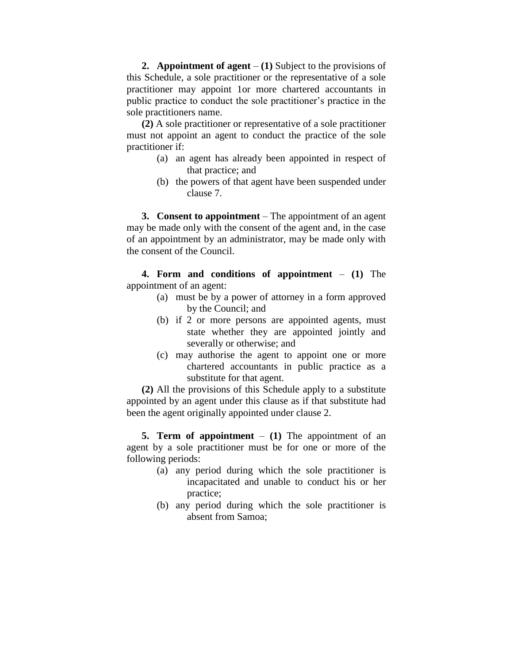**2. Appointment of agent** – **(1)** Subject to the provisions of this Schedule, a sole practitioner or the representative of a sole practitioner may appoint 1or more chartered accountants in public practice to conduct the sole practitioner's practice in the sole practitioners name.

**(2)** A sole practitioner or representative of a sole practitioner must not appoint an agent to conduct the practice of the sole practitioner if:

- (a) an agent has already been appointed in respect of that practice; and
- (b) the powers of that agent have been suspended under clause 7.

**3. Consent to appointment** – The appointment of an agent may be made only with the consent of the agent and, in the case of an appointment by an administrator, may be made only with the consent of the Council.

**4. Form and conditions of appointment** – **(1)** The appointment of an agent:

- (a) must be by a power of attorney in a form approved by the Council; and
- (b) if 2 or more persons are appointed agents, must state whether they are appointed jointly and severally or otherwise; and
- (c) may authorise the agent to appoint one or more chartered accountants in public practice as a substitute for that agent.

**(2)** All the provisions of this Schedule apply to a substitute appointed by an agent under this clause as if that substitute had been the agent originally appointed under clause 2.

**5. Term of appointment** – **(1)** The appointment of an agent by a sole practitioner must be for one or more of the following periods:

- (a) any period during which the sole practitioner is incapacitated and unable to conduct his or her practice;
- (b) any period during which the sole practitioner is absent from Samoa;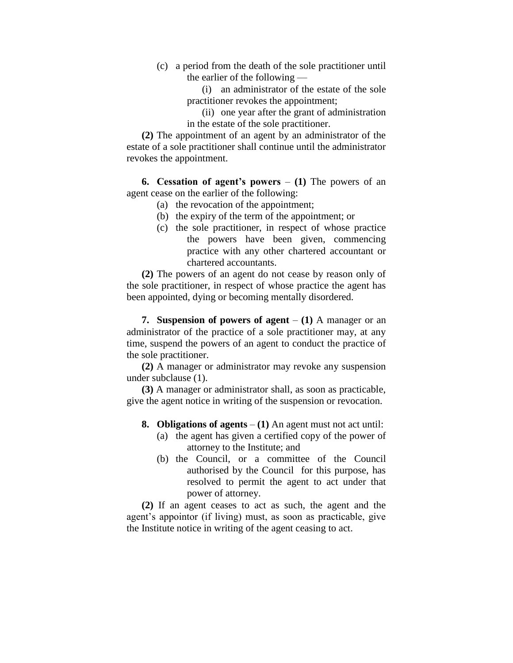- (c) a period from the death of the sole practitioner until the earlier of the following —
	- (i) an administrator of the estate of the sole practitioner revokes the appointment;
	- (ii) one year after the grant of administration in the estate of the sole practitioner.

**(2)** The appointment of an agent by an administrator of the estate of a sole practitioner shall continue until the administrator revokes the appointment.

**6. Cessation of agent's powers** – **(1)** The powers of an agent cease on the earlier of the following:

- (a) the revocation of the appointment;
- (b) the expiry of the term of the appointment; or
- (c) the sole practitioner, in respect of whose practice the powers have been given, commencing practice with any other chartered accountant or chartered accountants.

**(2)** The powers of an agent do not cease by reason only of the sole practitioner, in respect of whose practice the agent has been appointed, dying or becoming mentally disordered.

**7. Suspension of powers of agent** – **(1)** A manager or an administrator of the practice of a sole practitioner may, at any time, suspend the powers of an agent to conduct the practice of the sole practitioner.

**(2)** A manager or administrator may revoke any suspension under subclause (1).

**(3)** A manager or administrator shall, as soon as practicable, give the agent notice in writing of the suspension or revocation.

- **8. Obligations of agents (1)** An agent must not act until:
	- (a) the agent has given a certified copy of the power of attorney to the Institute; and
	- (b) the Council, or a committee of the Council authorised by the Council for this purpose, has resolved to permit the agent to act under that power of attorney.

**(2)** If an agent ceases to act as such, the agent and the agent's appointor (if living) must, as soon as practicable, give the Institute notice in writing of the agent ceasing to act.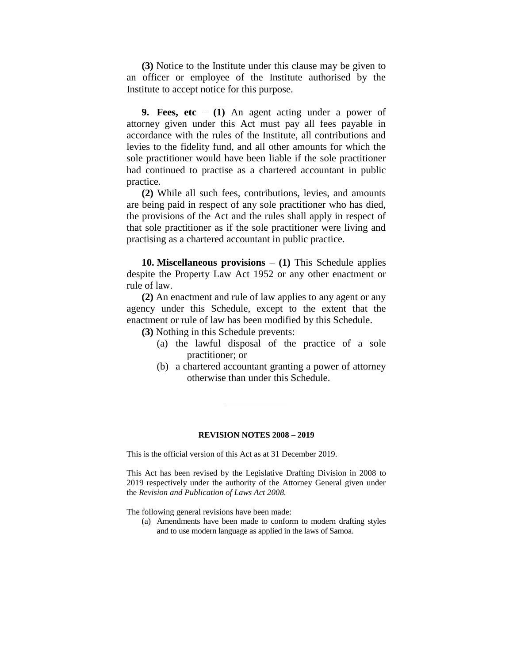**(3)** Notice to the Institute under this clause may be given to an officer or employee of the Institute authorised by the Institute to accept notice for this purpose.

**9. Fees, etc** – **(1)** An agent acting under a power of attorney given under this Act must pay all fees payable in accordance with the rules of the Institute, all contributions and levies to the fidelity fund, and all other amounts for which the sole practitioner would have been liable if the sole practitioner had continued to practise as a chartered accountant in public practice.

**(2)** While all such fees, contributions, levies, and amounts are being paid in respect of any sole practitioner who has died, the provisions of the Act and the rules shall apply in respect of that sole practitioner as if the sole practitioner were living and practising as a chartered accountant in public practice.

**10. Miscellaneous provisions** – **(1)** This Schedule applies despite the Property Law Act 1952 or any other enactment or rule of law.

**(2)** An enactment and rule of law applies to any agent or any agency under this Schedule, except to the extent that the enactment or rule of law has been modified by this Schedule.

**(3)** Nothing in this Schedule prevents:

- (a) the lawful disposal of the practice of a sole practitioner; or
- (b) a chartered accountant granting a power of attorney otherwise than under this Schedule.

#### **REVISION NOTES 2008 – 2019**

This is the official version of this Act as at 31 December 2019.

This Act has been revised by the Legislative Drafting Division in 2008 to 2019 respectively under the authority of the Attorney General given under the *Revision and Publication of Laws Act 2008.*

The following general revisions have been made:

(a) Amendments have been made to conform to modern drafting styles and to use modern language as applied in the laws of Samoa.